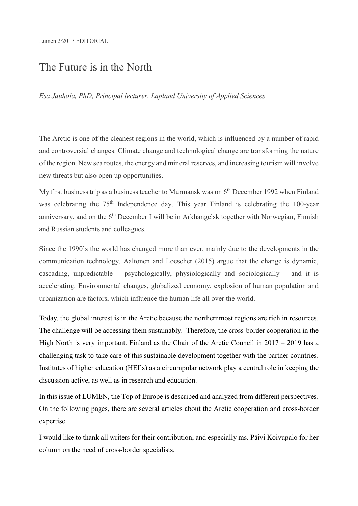#### Lumen 2/2017 EDITORIAL

# The Future is in the North

*Esa Jauhola, PhD, Principal lecturer, Lapland University of Applied Sciences*

The Arctic is one of the cleanest regions in the world, which is influenced by a number of rapid and controversial changes. Climate change and technological change are transforming the nature of the region. New sea routes, the energy and mineral reserves, and increasing tourism will involve new threats but also open up opportunities.

My first business trip as a business teacher to Murmansk was on  $6<sup>th</sup>$  December 1992 when Finland was celebrating the 75<sup>th</sup> Independence day. This year Finland is celebrating the 100-year anniversary, and on the  $6<sup>th</sup>$  December I will be in Arkhangelsk together with Norwegian, Finnish and Russian students and colleagues.

Since the 1990's the world has changed more than ever, mainly due to the developments in the communication technology. Aaltonen and Loescher (2015) argue that the change is dynamic, cascading, unpredictable – psychologically, physiologically and sociologically – and it is accelerating. Environmental changes, globalized economy, explosion of human population and urbanization are factors, which influence the human life all over the world.

Today, the global interest is in the Arctic because the northernmost regions are rich in resources. The challenge will be accessing them sustainably. Therefore, the cross-border cooperation in the High North is very important. Finland as the Chair of the Arctic Council in  $2017 - 2019$  has a challenging task to take care of this sustainable development together with the partner countries. Institutes of higher education (HEI's) as a circumpolar network play a central role in keeping the discussion active, as well as in research and education.

In this issue of LUMEN, the Top of Europe is described and analyzed from different perspectives. On the following pages, there are several articles about the Arctic cooperation and cross-border expertise.

I would like to thank all writers for their contribution, and especially ms. Päivi Koivupalo for her column on the need of cross-border specialists.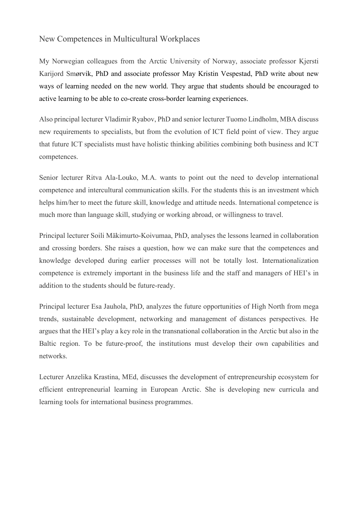#### New Competences in Multicultural Workplaces

My Norwegian colleagues from the Arctic University of Norway, associate professor Kjersti Karijord Smørvik, PhD and associate professor May Kristin Vespestad, PhD write about new ways of learning needed on the new world. They argue that students should be encouraged to active learning to be able to co-create cross-border learning experiences.

Also principal lecturer Vladimir Ryabov, PhD and senior lecturer Tuomo Lindholm, MBA discuss new requirements to specialists, but from the evolution of ICT field point of view. They argue that future ICT specialists must have holistic thinking abilities combining both business and ICT competences.

Senior lecturer Ritva Ala-Louko, M.A. wants to point out the need to develop international competence and intercultural communication skills. For the students this is an investment which helps him/her to meet the future skill, knowledge and attitude needs. International competence is much more than language skill, studying or working abroad, or willingness to travel.

Principal lecturer Soili Mäkimurto-Koivumaa, PhD, analyses the lessons learned in collaboration and crossing borders. She raises a question, how we can make sure that the competences and knowledge developed during earlier processes will not be totally lost. Internationalization competence is extremely important in the business life and the staff and managers of HEI's in addition to the students should be future-ready.

Principal lecturer Esa Jauhola, PhD, analyzes the future opportunities of High North from mega trends, sustainable development, networking and management of distances perspectives. He argues that the HEI's play a key role in the transnational collaboration in the Arctic but also in the Baltic region. To be future-proof, the institutions must develop their own capabilities and networks.

Lecturer Anzelika Krastina, MEd, discusses the development of entrepreneurship ecosystem for efficient entrepreneurial learning in European Arctic. She is developing new curricula and learning tools for international business programmes.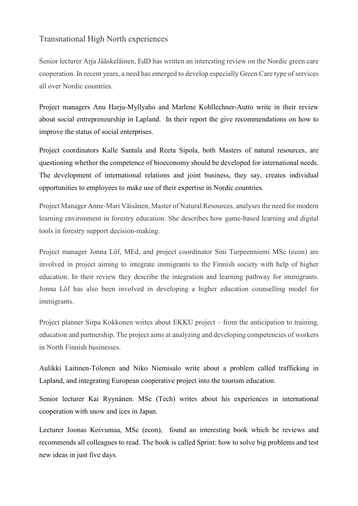### Transnational High North experiences

Senior lecturer Arja Jääskeläinen, EdD has written an interesting review on the Nordic green care cooperation. In recent years, a need has emerged to develop especially Green Care type of services all over Nordic countries.

Project managers Anu Harju-Myllyaho and Marlene Kohllechner-Autto write in their review about social entrepreneurship in Lapland. In their report the give recommendations on how to improve the status of social enterprises.

Project coordinators Kalle Santala and Reeta Sipola, both Masters of natural resources, are questioning whether the competence of bioeconomy should be developed for international needs. The development of international relations and joint business, they say, creates individual opportunities to employees to make use of their expertise in Nordic countries.

Project Manager Anne-Mari Väisänen, Master of Natural Resources, analyses the need for modern learning environment in forestry education. She describes how game-based learning and digital tools in forestry support decision-making.

Project manager Jonna Löf, MEd, and project coordinator Sini Turpeenniemi MSc (econ) are involved in project aiming to integrate immigrants to the Finnish society with help of higher education. In their review they describe the integration and learning pathway for immigrants. Jonna Löf has also been involved in developing a higher education counselling model for immigrants.

Project planner Sirpa Kokkonen writes about EKKU project – from the anticipation to training, education and partnership. The project aims at analyzing and developing competencies of workers in North Finnish businesses.

Aulikki Laitinen-Tolonen and Niko Niemisalo write about a problem called trafficking in Lapland, and integrating European cooperative project into the tourism education.

Senior lecturer Kai Ryynänen. MSc (Tech) writes about his experiences in international cooperation with snow and ices in Japan.

Lecturer Joonas Koivumaa, MSc (econ), found an interesting book which he reviews and recommends all colleagues to read. The book is called Sprint: how to solve big problems and test new ideas in just five days.